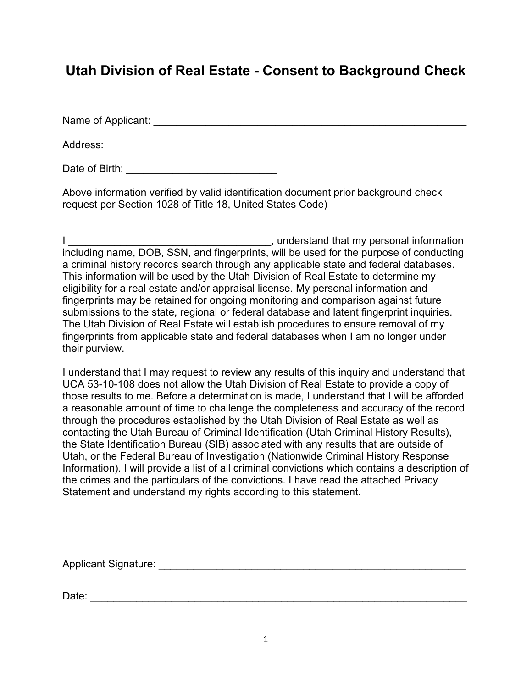# **Utah Division of Real Estate - Consent to Background Check**

Name of Applicant: \_\_\_\_\_\_\_\_\_\_\_\_\_\_\_\_\_\_\_\_\_\_\_\_\_\_\_\_\_\_\_\_\_\_\_\_\_\_\_\_\_\_\_\_\_\_\_\_\_\_\_\_\_\_

Address: \_\_\_\_\_\_\_\_\_\_\_\_\_\_\_\_\_\_\_\_\_\_\_\_\_\_\_\_\_\_\_\_\_\_\_\_\_\_\_\_\_\_\_\_\_\_\_\_\_\_\_\_\_\_\_\_\_\_\_\_\_\_

Date of Birth: **with**  $\sim$  2008 and  $\sim$  2008 and 2008 and 2008 and 2008 and 2008 and 2008 and 2008 and 2008 and 2008 and 2008 and 2008 and 2008 and 2008 and 2008 and 2008 and 2008 and 2008 and 2008 and 2008 and 2008 and 2

Above information verified by valid identification document prior background check request per Section 1028 of Title 18, United States Code)

I \_\_\_\_\_\_\_\_\_\_\_\_\_\_\_\_\_\_\_\_\_\_\_\_\_\_\_\_\_\_\_\_\_\_\_, understand that my personal information including name, DOB, SSN, and fingerprints, will be used for the purpose of conducting a criminal history records search through any applicable state and federal databases. This information will be used by the Utah Division of Real Estate to determine my eligibility for a real estate and/or appraisal license. My personal information and fingerprints may be retained for ongoing monitoring and comparison against future submissions to the state, regional or federal database and latent fingerprint inquiries. The Utah Division of Real Estate will establish procedures to ensure removal of my fingerprints from applicable state and federal databases when I am no longer under their purview.

I understand that I may request to review any results of this inquiry and understand that UCA 53-10-108 does not allow the Utah Division of Real Estate to provide a copy of those results to me. Before a determination is made, I understand that I will be afforded a reasonable amount of time to challenge the completeness and accuracy of the record through the procedures established by the Utah Division of Real Estate as well as contacting the Utah Bureau of Criminal Identification (Utah Criminal History Results), the State Identification Bureau (SIB) associated with any results that are outside of Utah, or the Federal Bureau of Investigation (Nationwide Criminal History Response Information). I will provide a list of all criminal convictions which contains a description of the crimes and the particulars of the convictions. I have read the attached Privacy Statement and understand my rights according to this statement.

Applicant Signature: \_\_\_\_\_\_\_\_\_\_\_\_\_\_\_\_\_\_\_\_\_\_\_\_\_\_\_\_\_\_\_\_\_\_\_\_\_\_\_\_\_\_\_\_\_\_\_\_\_\_\_\_\_

Date: \_\_\_\_\_\_\_\_\_\_\_\_\_\_\_\_\_\_\_\_\_\_\_\_\_\_\_\_\_\_\_\_\_\_\_\_\_\_\_\_\_\_\_\_\_\_\_\_\_\_\_\_\_\_\_\_\_\_\_\_\_\_\_\_\_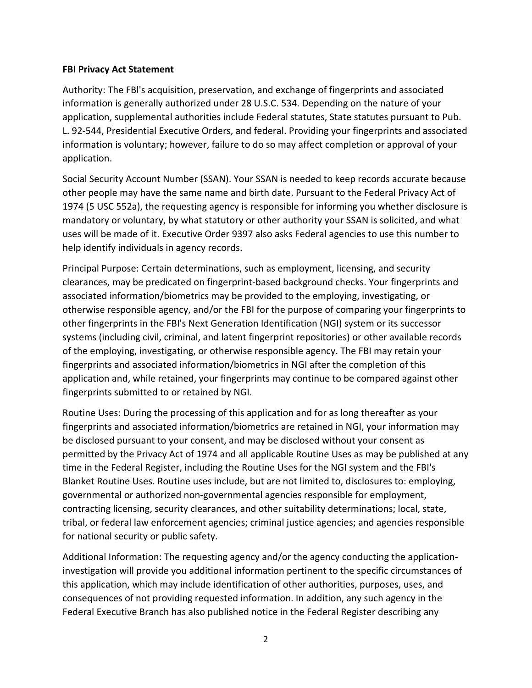#### **FBI Privacy Act Statement**

Authority: The FBl's acquisition, preservation, and exchange of fingerprints and associated information is generally authorized under 28 U.S.C. 534. Depending on the nature of your application, supplemental authorities include Federal statutes, State statutes pursuant to Pub. L. 92-544, Presidential Executive Orders, and federal. Providing your fingerprints and associated information is voluntary; however, failure to do so may affect completion or approval of your application.

Social Security Account Number (SSAN). Your SSAN is needed to keep records accurate because other people may have the same name and birth date. Pursuant to the Federal Privacy Act of 1974 (5 USC 552a), the requesting agency is responsible for informing you whether disclosure is mandatory or voluntary, by what statutory or other authority your SSAN is solicited, and what uses will be made of it. Executive Order 9397 also asks Federal agencies to use this number to help identify individuals in agency records.

Principal Purpose: Certain determinations, such as employment, licensing, and security clearances, may be predicated on fingerprint-based background checks. Your fingerprints and associated information/biometrics may be provided to the employing, investigating, or otherwise responsible agency, and/or the FBI for the purpose of comparing your fingerprints to other fingerprints in the FBI's Next Generation Identification (NGI) system or its successor systems (including civil, criminal, and latent fingerprint repositories) or other available records of the employing, investigating, or otherwise responsible agency. The FBI may retain your fingerprints and associated information/biometrics in NGI after the completion of this application and, while retained, your fingerprints may continue to be compared against other fingerprints submitted to or retained by NGI.

Routine Uses: During the processing of this application and for as long thereafter as your fingerprints and associated information/biometrics are retained in NGI, your information may be disclosed pursuant to your consent, and may be disclosed without your consent as permitted by the Privacy Act of 1974 and all applicable Routine Uses as may be published at any time in the Federal Register, including the Routine Uses for the NGI system and the FBI's Blanket Routine Uses. Routine uses include, but are not limited to, disclosures to: employing, governmental or authorized non-governmental agencies responsible for employment, contracting licensing, security clearances, and other suitability determinations; local, state, tribal, or federal law enforcement agencies; criminal justice agencies; and agencies responsible for national security or public safety.

Additional Information: The requesting agency and/or the agency conducting the applicationinvestigation will provide you additional information pertinent to the specific circumstances of this application, which may include identification of other authorities, purposes, uses, and consequences of not providing requested information. In addition, any such agency in the Federal Executive Branch has also published notice in the Federal Register describing any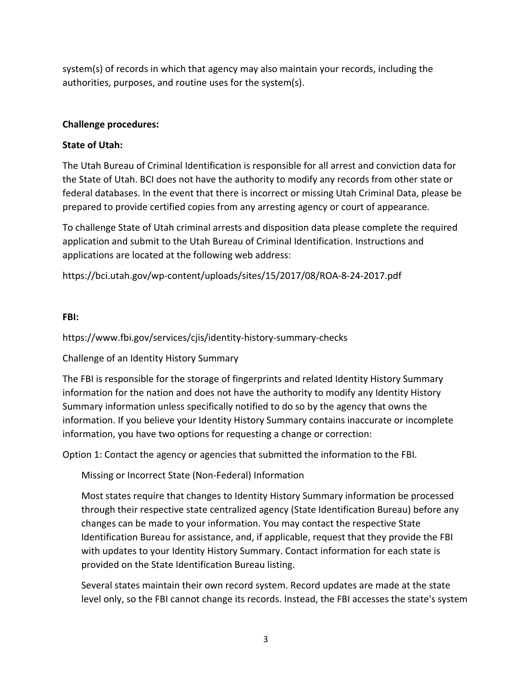system(s) of records in which that agency may also maintain your records, including the authorities, purposes, and routine uses for the system(s).

### **Challenge procedures:**

## **State of Utah:**

The Utah Bureau of Criminal Identification is responsible for all arrest and conviction data for the State of Utah. BCI does not have the authority to modify any records from other state or federal databases. In the event that there is incorrect or missing Utah Criminal Data, please be prepared to provide certified copies from any arresting agency or court of appearance.

To challenge State of Utah criminal arrests and disposition data please complete the required application and submit to the Utah Bureau of Criminal Identification. Instructions and applications are located at the following web address:

https://bci.utah.gov/wp-content/uploads/sites/15/2017/08/ROA-8-24-2017.pdf

#### **FBI:**

https://www.fbi.gov/services/cjis/identity-history-summary-checks

Challenge of an Identity History Summary

The FBI is responsible for the storage of fingerprints and related Identity History Summary information for the nation and does not have the authority to modify any Identity History Summary information unless specifically notified to do so by the agency that owns the information. If you believe your Identity History Summary contains inaccurate or incomplete information, you have two options for requesting a change or correction:

Option 1: Contact the agency or agencies that submitted the information to the FBI.

Missing or Incorrect State (Non-Federal) Information

Most states require that changes to Identity History Summary information be processed through their respective state centralized agency (State Identification Bureau) before any changes can be made to your information. You may contact the respective State Identification Bureau for assistance, and, if applicable, request that they provide the FBI with updates to your Identity History Summary. Contact information for each state is provided on the State Identification Bureau listing.

Several states maintain their own record system. Record updates are made at the state level only, so the FBI cannot change its records. Instead, the FBI accesses the state's system